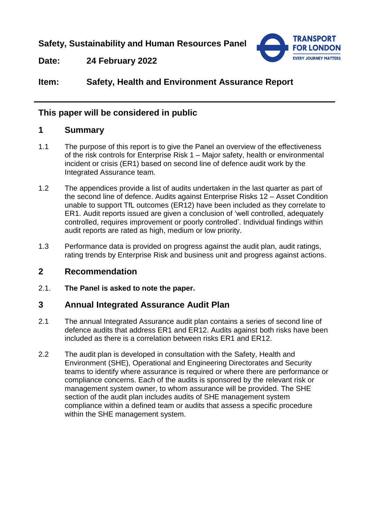**Safety, Sustainability and Human Resources Panel**



**Date: 24 February 2022**

# **Item: Safety, Health and Environment Assurance Report**

## **This paper will be considered in public**

### **1 Summary**

- 1.1 The purpose of this report is to give the Panel an overview of the effectiveness of the risk controls for Enterprise Risk 1 – Major safety, health or environmental incident or crisis (ER1) based on second line of defence audit work by the Integrated Assurance team.
- 1.2 The appendices provide a list of audits undertaken in the last quarter as part of the second line of defence. Audits against Enterprise Risks 12 – Asset Condition unable to support TfL outcomes (ER12) have been included as they correlate to ER1. Audit reports issued are given a conclusion of 'well controlled, adequately controlled, requires improvement or poorly controlled'. Individual findings within audit reports are rated as high, medium or low priority.
- 1.3 Performance data is provided on progress against the audit plan, audit ratings, rating trends by Enterprise Risk and business unit and progress against actions.

### **2 Recommendation**

2.1. **The Panel is asked to note the paper.**

### **3 Annual Integrated Assurance Audit Plan**

- 2.1 The annual Integrated Assurance audit plan contains a series of second line of defence audits that address ER1 and ER12. Audits against both risks have been included as there is a correlation between risks ER1 and ER12.
- 2.2 The audit plan is developed in consultation with the Safety, Health and Environment (SHE), Operational and Engineering Directorates and Security teams to identify where assurance is required or where there are performance or compliance concerns. Each of the audits is sponsored by the relevant risk or management system owner, to whom assurance will be provided. The SHE section of the audit plan includes audits of SHE management system compliance within a defined team or audits that assess a specific procedure within the SHE management system.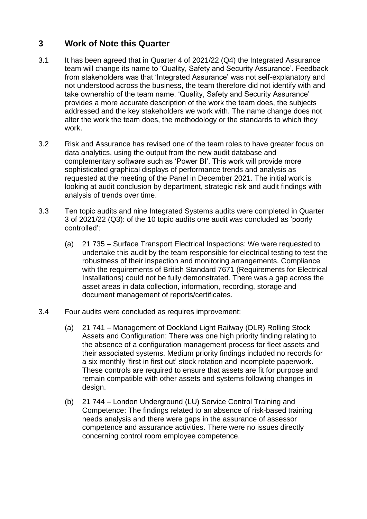# **3 Work of Note this Quarter**

- 3.1 It has been agreed that in Quarter 4 of 2021/22 (Q4) the Integrated Assurance team will change its name to 'Quality, Safety and Security Assurance'. Feedback from stakeholders was that 'Integrated Assurance' was not self-explanatory and not understood across the business, the team therefore did not identify with and take ownership of the team name. 'Quality, Safety and Security Assurance' provides a more accurate description of the work the team does, the subjects addressed and the key stakeholders we work with. The name change does not alter the work the team does, the methodology or the standards to which they work.
- 3.2 Risk and Assurance has revised one of the team roles to have greater focus on data analytics, using the output from the new audit database and complementary software such as 'Power BI'. This work will provide more sophisticated graphical displays of performance trends and analysis as requested at the meeting of the Panel in December 2021. The initial work is looking at audit conclusion by department, strategic risk and audit findings with analysis of trends over time.
- 3.3 Ten topic audits and nine Integrated Systems audits were completed in Quarter 3 of 2021/22 (Q3): of the 10 topic audits one audit was concluded as 'poorly controlled':
	- (a) 21 735 Surface Transport Electrical Inspections: We were requested to undertake this audit by the team responsible for electrical testing to test the robustness of their inspection and monitoring arrangements. Compliance with the requirements of British Standard 7671 (Requirements for Electrical Installations) could not be fully demonstrated. There was a gap across the asset areas in data collection, information, recording, storage and document management of reports/certificates.
- 3.4 Four audits were concluded as requires improvement:
	- (a) 21 741 Management of Dockland Light Railway (DLR) Rolling Stock Assets and Configuration: There was one high priority finding relating to the absence of a configuration management process for fleet assets and their associated systems. Medium priority findings included no records for a six monthly 'first in first out' stock rotation and incomplete paperwork. These controls are required to ensure that assets are fit for purpose and remain compatible with other assets and systems following changes in design.
	- (b) 21 744 London Underground (LU) Service Control Training and Competence: The findings related to an absence of risk-based training needs analysis and there were gaps in the assurance of assessor competence and assurance activities. There were no issues directly concerning control room employee competence.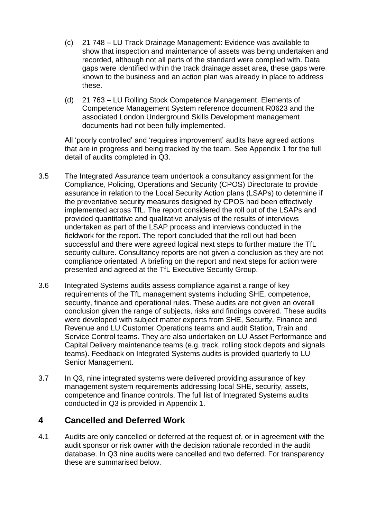- (c) 21 748 LU Track Drainage Management: Evidence was available to show that inspection and maintenance of assets was being undertaken and recorded, although not all parts of the standard were complied with. Data gaps were identified within the track drainage asset area, these gaps were known to the business and an action plan was already in place to address these.
- (d) 21 763 LU Rolling Stock Competence Management. Elements of Competence Management System reference document R0623 and the associated London Underground Skills Development management documents had not been fully implemented.

All 'poorly controlled' and 'requires improvement' audits have agreed actions that are in progress and being tracked by the team. See Appendix 1 for the full detail of audits completed in Q3.

- 3.5 The Integrated Assurance team undertook a consultancy assignment for the Compliance, Policing, Operations and Security (CPOS) Directorate to provide assurance in relation to the Local Security Action plans (LSAPs) to determine if the preventative security measures designed by CPOS had been effectively implemented across TfL. The report considered the roll out of the LSAPs and provided quantitative and qualitative analysis of the results of interviews undertaken as part of the LSAP process and interviews conducted in the fieldwork for the report. The report concluded that the roll out had been successful and there were agreed logical next steps to further mature the TfL security culture. Consultancy reports are not given a conclusion as they are not compliance orientated. A briefing on the report and next steps for action were presented and agreed at the TfL Executive Security Group.
- 3.6 Integrated Systems audits assess compliance against a range of key requirements of the TfL management systems including SHE, competence, security, finance and operational rules. These audits are not given an overall conclusion given the range of subjects, risks and findings covered. These audits were developed with subject matter experts from SHE, Security, Finance and Revenue and LU Customer Operations teams and audit Station, Train and Service Control teams. They are also undertaken on LU Asset Performance and Capital Delivery maintenance teams (e.g. track, rolling stock depots and signals teams). Feedback on Integrated Systems audits is provided quarterly to LU Senior Management.
- 3.7 In Q3, nine integrated systems were delivered providing assurance of key management system requirements addressing local SHE, security, assets, competence and finance controls. The full list of Integrated Systems audits conducted in Q3 is provided in Appendix 1.

## **4 Cancelled and Deferred Work**

4.1 Audits are only cancelled or deferred at the request of, or in agreement with the audit sponsor or risk owner with the decision rationale recorded in the audit database. In Q3 nine audits were cancelled and two deferred. For transparency these are summarised below.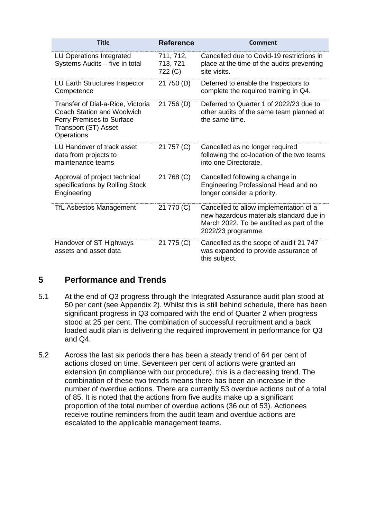| <b>Title</b>                                                                                                                                     | <b>Reference</b>                 | <b>Comment</b>                                                                                                                                      |
|--------------------------------------------------------------------------------------------------------------------------------------------------|----------------------------------|-----------------------------------------------------------------------------------------------------------------------------------------------------|
| LU Operations Integrated<br>Systems Audits - five in total                                                                                       | 711, 712,<br>713, 721<br>722 (C) | Cancelled due to Covid-19 restrictions in<br>place at the time of the audits preventing<br>site visits.                                             |
| <b>LU Earth Structures Inspector</b><br>Competence                                                                                               | 21 750 (D)                       | Deferred to enable the Inspectors to<br>complete the required training in Q4.                                                                       |
| Transfer of Dial-a-Ride, Victoria<br><b>Coach Station and Woolwich</b><br><b>Ferry Premises to Surface</b><br>Transport (ST) Asset<br>Operations | 21 756 (D)                       | Deferred to Quarter 1 of 2022/23 due to<br>other audits of the same team planned at<br>the same time.                                               |
| LU Handover of track asset<br>data from projects to<br>maintenance teams                                                                         | 21 757 (C)                       | Cancelled as no longer required<br>following the co-location of the two teams<br>into one Directorate.                                              |
| Approval of project technical<br>specifications by Rolling Stock<br>Engineering                                                                  | 21 768 (C)                       | Cancelled following a change in<br>Engineering Professional Head and no<br>longer consider a priority.                                              |
| <b>TfL Asbestos Management</b>                                                                                                                   | 21 770 (C)                       | Cancelled to allow implementation of a<br>new hazardous materials standard due in<br>March 2022. To be audited as part of the<br>2022/23 programme. |
| Handover of ST Highways<br>assets and asset data                                                                                                 | 21 775 (C)                       | Cancelled as the scope of audit 21 747<br>was expanded to provide assurance of<br>this subject.                                                     |

## **5 Performance and Trends**

- 5.1 At the end of Q3 progress through the Integrated Assurance audit plan stood at 50 per cent (see Appendix 2). Whilst this is still behind schedule, there has been significant progress in Q3 compared with the end of Quarter 2 when progress stood at 25 per cent. The combination of successful recruitment and a back loaded audit plan is delivering the required improvement in performance for Q3 and Q4.
- 5.2 Across the last six periods there has been a steady trend of 64 per cent of actions closed on time. Seventeen per cent of actions were granted an extension (in compliance with our procedure), this is a decreasing trend. The combination of these two trends means there has been an increase in the number of overdue actions. There are currently 53 overdue actions out of a total of 85. It is noted that the actions from five audits make up a significant proportion of the total number of overdue actions (36 out of 53). Actionees receive routine reminders from the audit team and overdue actions are escalated to the applicable management teams.